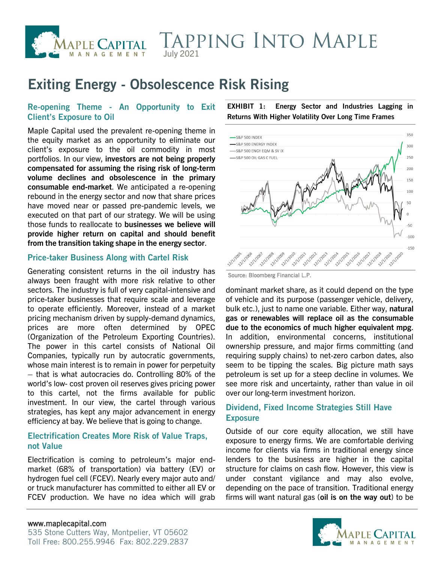

## **TAPPING INTO MAPLE** July 2021

# **Exiting Energy - Obsolescence Risk Rising**

## **Re-opening Theme - An Opportunity to Exit Client's Exposure to Oil**

Maple Capital used the prevalent re-opening theme in the equity market as an opportunity to eliminate our client's exposure to the oil commodity in most portfolios. In our view, **investors are not being properly compensated for assuming the rising risk of long-term volume declines and obsolescence in the primary consumable end-market**. We anticipated a re-opening rebound in the energy sector and now that share prices have moved near or passed pre-pandemic levels, we executed on that part of our strategy. We will be using those funds to reallocate to **businesses we believe will provide higher return on capital and should benefit from the transition taking shape in the energy sector**.

#### **Price-taker Business Along with Cartel Risk**

Generating consistent returns in the oil industry has always been fraught with more risk relative to other sectors. The industry is full of very capital-intensive and price-taker businesses that require scale and leverage to operate efficiently. Moreover, instead of a market pricing mechanism driven by supply-demand dynamics, prices are more often determined by OPEC (Organization of the Petroleum Exporting Countries). The power in this cartel consists of National Oil Companies, typically run by autocratic governments, whose main interest is to remain in power for perpetuity – that is what autocracies do. Controlling 80% of the world's low- cost proven oil reserves gives pricing power to this cartel, not the firms available for public investment. In our view, the cartel through various strategies, has kept any major advancement in energy efficiency at bay. We believe that is going to change.

#### **Electrification Creates More Risk of Value Traps, not Value**

Electrification is coming to petroleum's major endmarket (68% of transportation) via battery (EV) or hydrogen fuel cell (FCEV). Nearly every major auto and/ or truck manufacturer has committed to either all EV or FCEV production. We have no idea which will grab **EXHIBIT 1: Energy Sector and Industries Lagging in Returns With Higher Volatility Over Long Time Frames**



Source: Bloomberg Financial L.P.

dominant market share, as it could depend on the type of vehicle and its purpose (passenger vehicle, delivery, bulk etc.), just to name one variable. Either way, **natural gas or renewables will replace oil as the consumable due to the economics of much higher equivalent mpg**. In addition, environmental concerns, institutional ownership pressure, and major firms committing (and requiring supply chains) to net-zero carbon dates, also seem to be tipping the scales. Big picture math says petroleum is set up for a steep decline in volumes. We see more risk and uncertainty, rather than value in oil over our long-term investment horizon.

## **Dividend, Fixed Income Strategies Still Have Exposure**

Outside of our core equity allocation, we still have exposure to energy firms. We are comfortable deriving income for clients via firms in traditional energy since lenders to the business are higher in the capital structure for claims on cash flow. However, this view is under constant vigilance and may also evolve, depending on the pace of transition. Traditional energy firms will want natural gas (**oil is on the way out**) to be

#### www.maplecapital.com

535 Stone Cutters Way, Montpelier, VT 05602 Toll Free: 800.255.9946 Fax: 802.229.2837